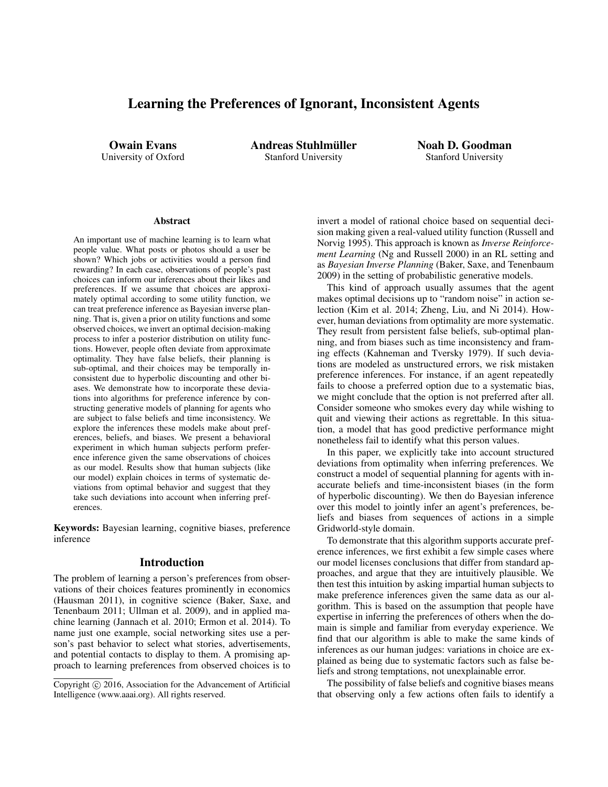# Learning the Preferences of Ignorant, Inconsistent Agents

Owain Evans University of Oxford Andreas Stuhlmüller Stanford University

Noah D. Goodman Stanford University

#### **Abstract**

An important use of machine learning is to learn what people value. What posts or photos should a user be shown? Which jobs or activities would a person find rewarding? In each case, observations of people's past choices can inform our inferences about their likes and preferences. If we assume that choices are approximately optimal according to some utility function, we can treat preference inference as Bayesian inverse planning. That is, given a prior on utility functions and some observed choices, we invert an optimal decision-making process to infer a posterior distribution on utility functions. However, people often deviate from approximate optimality. They have false beliefs, their planning is sub-optimal, and their choices may be temporally inconsistent due to hyperbolic discounting and other biases. We demonstrate how to incorporate these deviations into algorithms for preference inference by constructing generative models of planning for agents who are subject to false beliefs and time inconsistency. We explore the inferences these models make about preferences, beliefs, and biases. We present a behavioral experiment in which human subjects perform preference inference given the same observations of choices as our model. Results show that human subjects (like our model) explain choices in terms of systematic deviations from optimal behavior and suggest that they take such deviations into account when inferring preferences.

Keywords: Bayesian learning, cognitive biases, preference inference

#### Introduction

The problem of learning a person's preferences from observations of their choices features prominently in economics (Hausman 2011), in cognitive science (Baker, Saxe, and Tenenbaum 2011; Ullman et al. 2009), and in applied machine learning (Jannach et al. 2010; Ermon et al. 2014). To name just one example, social networking sites use a person's past behavior to select what stories, advertisements, and potential contacts to display to them. A promising approach to learning preferences from observed choices is to invert a model of rational choice based on sequential decision making given a real-valued utility function (Russell and Norvig 1995). This approach is known as *Inverse Reinforcement Learning* (Ng and Russell 2000) in an RL setting and as *Bayesian Inverse Planning* (Baker, Saxe, and Tenenbaum 2009) in the setting of probabilistic generative models.

This kind of approach usually assumes that the agent makes optimal decisions up to "random noise" in action selection (Kim et al. 2014; Zheng, Liu, and Ni 2014). However, human deviations from optimality are more systematic. They result from persistent false beliefs, sub-optimal planning, and from biases such as time inconsistency and framing effects (Kahneman and Tversky 1979). If such deviations are modeled as unstructured errors, we risk mistaken preference inferences. For instance, if an agent repeatedly fails to choose a preferred option due to a systematic bias, we might conclude that the option is not preferred after all. Consider someone who smokes every day while wishing to quit and viewing their actions as regrettable. In this situation, a model that has good predictive performance might nonetheless fail to identify what this person values.

In this paper, we explicitly take into account structured deviations from optimality when inferring preferences. We construct a model of sequential planning for agents with inaccurate beliefs and time-inconsistent biases (in the form of hyperbolic discounting). We then do Bayesian inference over this model to jointly infer an agent's preferences, beliefs and biases from sequences of actions in a simple Gridworld-style domain.

To demonstrate that this algorithm supports accurate preference inferences, we first exhibit a few simple cases where our model licenses conclusions that differ from standard approaches, and argue that they are intuitively plausible. We then test this intuition by asking impartial human subjects to make preference inferences given the same data as our algorithm. This is based on the assumption that people have expertise in inferring the preferences of others when the domain is simple and familiar from everyday experience. We find that our algorithm is able to make the same kinds of inferences as our human judges: variations in choice are explained as being due to systematic factors such as false beliefs and strong temptations, not unexplainable error.

The possibility of false beliefs and cognitive biases means that observing only a few actions often fails to identify a

Copyright © 2016, Association for the Advancement of Artificial Intelligence (www.aaai.org). All rights reserved.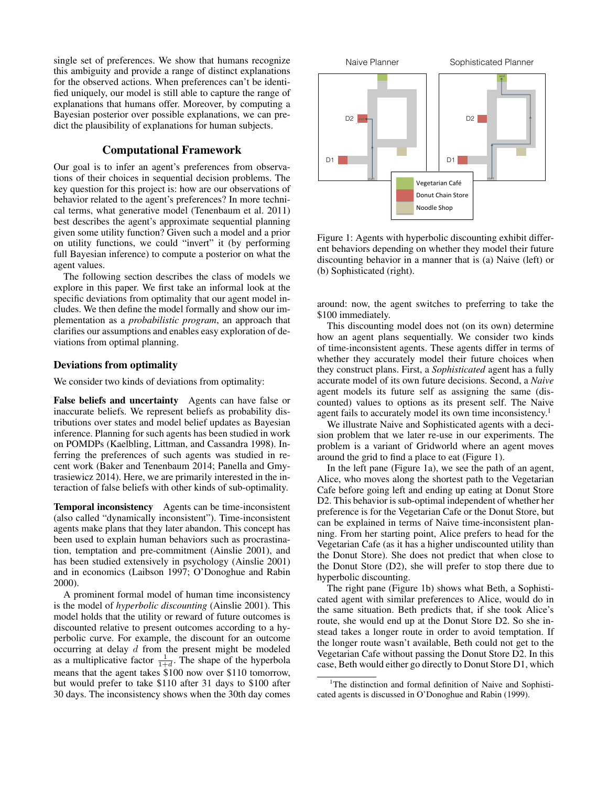single set of preferences. We show that humans recognize this ambiguity and provide a range of distinct explanations for the observed actions. When preferences can't be identified uniquely, our model is still able to capture the range of explanations that humans offer. Moreover, by computing a Bayesian posterior over possible explanations, we can predict the plausibility of explanations for human subjects.

# Computational Framework

Our goal is to infer an agent's preferences from observations of their choices in sequential decision problems. The key question for this project is: how are our observations of behavior related to the agent's preferences? In more technical terms, what generative model (Tenenbaum et al. 2011) best describes the agent's approximate sequential planning given some utility function? Given such a model and a prior on utility functions, we could "invert" it (by performing full Bayesian inference) to compute a posterior on what the agent values.

The following section describes the class of models we explore in this paper. We first take an informal look at the specific deviations from optimality that our agent model includes. We then define the model formally and show our implementation as a *probabilistic program*, an approach that clarifies our assumptions and enables easy exploration of deviations from optimal planning.

## Deviations from optimality

We consider two kinds of deviations from optimality:

False beliefs and uncertainty Agents can have false or inaccurate beliefs. We represent beliefs as probability distributions over states and model belief updates as Bayesian inference. Planning for such agents has been studied in work on POMDPs (Kaelbling, Littman, and Cassandra 1998). Inferring the preferences of such agents was studied in recent work (Baker and Tenenbaum 2014; Panella and Gmytrasiewicz 2014). Here, we are primarily interested in the interaction of false beliefs with other kinds of sub-optimality.

Temporal inconsistency Agents can be time-inconsistent (also called "dynamically inconsistent"). Time-inconsistent agents make plans that they later abandon. This concept has been used to explain human behaviors such as procrastination, temptation and pre-commitment (Ainslie 2001), and has been studied extensively in psychology (Ainslie 2001) and in economics (Laibson 1997; O'Donoghue and Rabin 2000).

A prominent formal model of human time inconsistency is the model of *hyperbolic discounting* (Ainslie 2001). This model holds that the utility or reward of future outcomes is discounted relative to present outcomes according to a hyperbolic curve. For example, the discount for an outcome occurring at delay  $d$  from the present might be modeled as a multiplicative factor  $\frac{1}{1+d}$ . The shape of the hyperbola means that the agent takes \$100 now over \$110 tomorrow, but would prefer to take \$110 after 31 days to \$100 after 30 days. The inconsistency shows when the 30th day comes



Figure 1: Agents with hyperbolic discounting exhibit different behaviors depending on whether they model their future discounting behavior in a manner that is (a) Naive (left) or (b) Sophisticated (right).

around: now, the agent switches to preferring to take the \$100 immediately.

This discounting model does not (on its own) determine how an agent plans sequentially. We consider two kinds of time-inconsistent agents. These agents differ in terms of whether they accurately model their future choices when they construct plans. First, a *Sophisticated* agent has a fully accurate model of its own future decisions. Second, a *Naive* agent models its future self as assigning the same (discounted) values to options as its present self. The Naive agent fails to accurately model its own time inconsistency.<sup>1</sup>

We illustrate Naive and Sophisticated agents with a decision problem that we later re-use in our experiments. The problem is a variant of Gridworld where an agent moves around the grid to find a place to eat (Figure 1).

In the left pane (Figure 1a), we see the path of an agent, Alice, who moves along the shortest path to the Vegetarian Cafe before going left and ending up eating at Donut Store D2. This behavior is sub-optimal independent of whether her preference is for the Vegetarian Cafe or the Donut Store, but can be explained in terms of Naive time-inconsistent planning. From her starting point, Alice prefers to head for the Vegetarian Cafe (as it has a higher undiscounted utility than the Donut Store). She does not predict that when close to the Donut Store (D2), she will prefer to stop there due to hyperbolic discounting.

The right pane (Figure 1b) shows what Beth, a Sophisticated agent with similar preferences to Alice, would do in the same situation. Beth predicts that, if she took Alice's route, she would end up at the Donut Store D2. So she instead takes a longer route in order to avoid temptation. If the longer route wasn't available, Beth could not get to the Vegetarian Cafe without passing the Donut Store D2. In this case, Beth would either go directly to Donut Store D1, which

<sup>&</sup>lt;sup>1</sup>The distinction and formal definition of Naive and Sophisticated agents is discussed in O'Donoghue and Rabin (1999).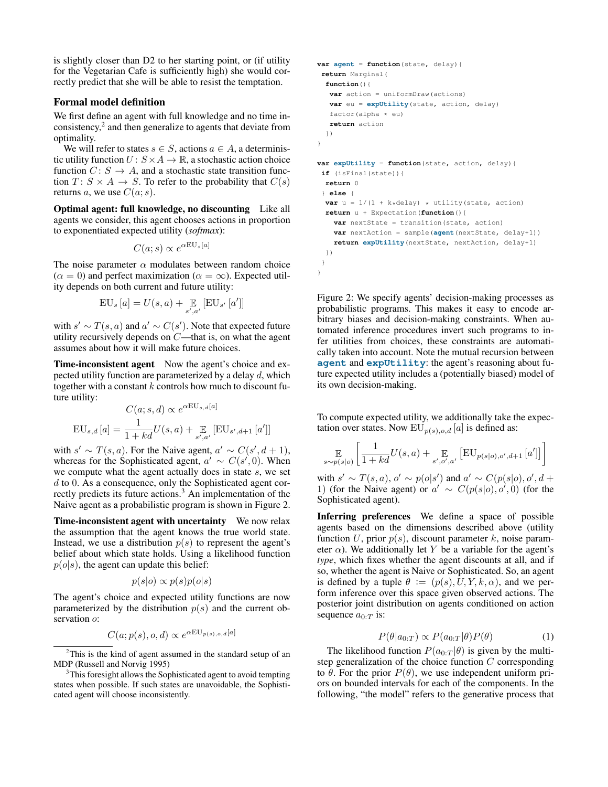is slightly closer than D2 to her starting point, or (if utility for the Vegetarian Cafe is sufficiently high) she would correctly predict that she will be able to resist the temptation.

### Formal model definition

We first define an agent with full knowledge and no time inconsistency,<sup>2</sup> and then generalize to agents that deviate from optimality.

We will refer to states  $s \in S$ , actions  $a \in A$ , a deterministic utility function  $U: S \times A \rightarrow \mathbb{R}$ , a stochastic action choice function  $C: S \rightarrow A$ , and a stochastic state transition function  $T: S \times A \rightarrow S$ . To refer to the probability that  $C(s)$ returns a, we use  $C(a; s)$ .

Optimal agent: full knowledge, no discounting Like all agents we consider, this agent chooses actions in proportion to exponentiated expected utility (*softmax*):

$$
C(a;s) \propto e^{\alpha \text{EU}_s[a]}
$$

The noise parameter  $\alpha$  modulates between random choice  $(\alpha = 0)$  and perfect maximization  $(\alpha = \infty)$ . Expected utility depends on both current and future utility:

$$
\text{EU}_s\left[a\right] = U(s, a) + \mathop{\mathbb{E}}\limits_{s', a'} \left[\text{EU}_{s'}\left[a'\right]\right]
$$

with  $s' \sim T(s, a)$  and  $a' \sim C(s')$ . Note that expected future utility recursively depends on C—that is, on what the agent assumes about how it will make future choices.

Time-inconsistent agent Now the agent's choice and expected utility function are parameterized by a delay  $d$ , which together with a constant  $k$  controls how much to discount future utility:

$$
C(a; s, d) \propto e^{\alpha \mathbf{EU}_{s,d}[a]}
$$

$$
\mathbf{EU}_{s,d}[a] = \frac{1}{1 + kd} U(s, a) + \mathop{\mathbb{E}}_{s',a'} \left[ \mathbf{EU}_{s',d+1}[a'] \right]
$$

with  $s' \sim T(s, a)$ . For the Naive agent,  $a' \sim C(s', d + 1)$ , whereas for the Sophisticated agent,  $a' \sim C(s', 0)$ . When we compute what the agent actually does in state s, we set d to 0. As a consequence, only the Sophisticated agent correctly predicts its future actions.<sup>3</sup> An implementation of the Naive agent as a probabilistic program is shown in Figure 2.

Time-inconsistent agent with uncertainty We now relax the assumption that the agent knows the true world state. Instead, we use a distribution  $p(s)$  to represent the agent's belief about which state holds. Using a likelihood function  $p(o|s)$ , the agent can update this belief:

$$
p(s|o) \propto p(s)p(o|s)
$$

The agent's choice and expected utility functions are now parameterized by the distribution  $p(s)$  and the current observation  $o$ :

$$
C(a; p(s), o, d) \propto e^{\alpha \text{EU}_{p(s), o, d}[a]}
$$

```
var agent = function(state, delay){
return Marginal(
  function(){
  var action = uniformDraw(actions)
  var eu = expUtility(state, action, delay)
   factor(alpha * eu)return action
  })
}
var expUtility = function(state, action, delay){
if (isFinal(state)){
  return 0
 } else {
 var u = 1/(1 + k * delay) * utility(state, action)return u + Expectation(function(){
    var nextState = transition(state, action)
   var nextAction = sample(agent(nextState, delay+1))
   return expUtility(nextState, nextAction, delay+1)
 })
}
}
```
Figure 2: We specify agents' decision-making processes as probabilistic programs. This makes it easy to encode arbitrary biases and decision-making constraints. When automated inference procedures invert such programs to infer utilities from choices, these constraints are automatically taken into account. Note the mutual recursion between **agent** and **expUtility**: the agent's reasoning about future expected utility includes a (potentially biased) model of its own decision-making.

To compute expected utility, we additionally take the expectation over states. Now  $EU_{p(s),o,d}[a]$  is defined as:

$$
\mathop{\mathbb{E}}_{s \sim p(s|o)} \left[ \frac{1}{1 + kd} U(s, a) + \mathop{\mathbb{E}}_{s', o', a'} \left[ \text{EU}_{p(s|o), o', d+1} \left[ a' \right] \right] \right]
$$

with  $s' \sim T(s, a)$ ,  $o' \sim p(o|s')$  and  $a' \sim C(p(s|o), o', d +$ 1) (for the Naive agent) or  $a' \sim C(p(s|o), o', 0)$  (for the Sophisticated agent).

Inferring preferences We define a space of possible agents based on the dimensions described above (utility function U, prior  $p(s)$ , discount parameter k, noise parameter  $\alpha$ ). We additionally let Y be a variable for the agent's *type*, which fixes whether the agent discounts at all, and if so, whether the agent is Naive or Sophisticated. So, an agent is defined by a tuple  $\theta := (p(s), U, Y, k, \alpha)$ , and we perform inference over this space given observed actions. The posterior joint distribution on agents conditioned on action sequence  $a_{0:T}$  is:

$$
P(\theta|a_{0:T}) \propto P(a_{0:T}|\theta)P(\theta) \tag{1}
$$

The likelihood function  $P(a_{0:T} | \theta)$  is given by the multistep generalization of the choice function  $C$  corresponding to  $\theta$ . For the prior  $P(\theta)$ , we use independent uniform priors on bounded intervals for each of the components. In the following, "the model" refers to the generative process that

<sup>&</sup>lt;sup>2</sup>This is the kind of agent assumed in the standard setup of an MDP (Russell and Norvig 1995)

<sup>&</sup>lt;sup>3</sup>This foresight allows the Sophisticated agent to avoid tempting states when possible. If such states are unavoidable, the Sophisticated agent will choose inconsistently.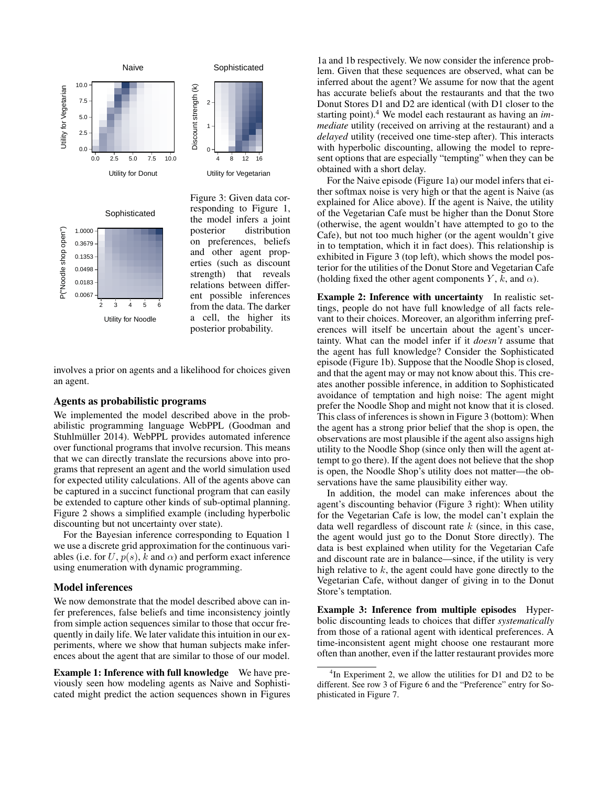



Figure 3: Given data corresponding to Figure 1, the model infers a joint posterior distribution on preferences, beliefs and other agent properties (such as discount strength) that reveals relations between different possible inferences from the data. The darker a cell, the higher its posterior probability.

involves a prior on agents and a likelihood for choices given an agent.

### Agents as probabilistic programs

We implemented the model described above in the probabilistic programming language WebPPL (Goodman and Stuhlmüller 2014). WebPPL provides automated inference over functional programs that involve recursion. This means that we can directly translate the recursions above into programs that represent an agent and the world simulation used for expected utility calculations. All of the agents above can be captured in a succinct functional program that can easily be extended to capture other kinds of sub-optimal planning. Figure 2 shows a simplified example (including hyperbolic discounting but not uncertainty over state).

For the Bayesian inference corresponding to Equation 1 we use a discrete grid approximation for the continuous variables (i.e. for U,  $p(s)$ , k and  $\alpha$ ) and perform exact inference using enumeration with dynamic programming.

#### Model inferences

We now demonstrate that the model described above can infer preferences, false beliefs and time inconsistency jointly from simple action sequences similar to those that occur frequently in daily life. We later validate this intuition in our experiments, where we show that human subjects make inferences about the agent that are similar to those of our model.

Example 1: Inference with full knowledge We have previously seen how modeling agents as Naive and Sophisticated might predict the action sequences shown in Figures

1a and 1b respectively. We now consider the inference problem. Given that these sequences are observed, what can be inferred about the agent? We assume for now that the agent has accurate beliefs about the restaurants and that the two Donut Stores D1 and D2 are identical (with D1 closer to the starting point).<sup>4</sup> We model each restaurant as having an *immediate* utility (received on arriving at the restaurant) and a *delayed* utility (received one time-step after). This interacts with hyperbolic discounting, allowing the model to represent options that are especially "tempting" when they can be obtained with a short delay.

For the Naive episode (Figure 1a) our model infers that either softmax noise is very high or that the agent is Naive (as explained for Alice above). If the agent is Naive, the utility of the Vegetarian Cafe must be higher than the Donut Store (otherwise, the agent wouldn't have attempted to go to the Cafe), but not too much higher (or the agent wouldn't give in to temptation, which it in fact does). This relationship is exhibited in Figure 3 (top left), which shows the model posterior for the utilities of the Donut Store and Vegetarian Cafe (holding fixed the other agent components  $Y$ ,  $k$ , and  $\alpha$ ).

Example 2: Inference with uncertainty In realistic settings, people do not have full knowledge of all facts relevant to their choices. Moreover, an algorithm inferring preferences will itself be uncertain about the agent's uncertainty. What can the model infer if it *doesn't* assume that the agent has full knowledge? Consider the Sophisticated episode (Figure 1b). Suppose that the Noodle Shop is closed, and that the agent may or may not know about this. This creates another possible inference, in addition to Sophisticated avoidance of temptation and high noise: The agent might prefer the Noodle Shop and might not know that it is closed. This class of inferences is shown in Figure 3 (bottom): When the agent has a strong prior belief that the shop is open, the observations are most plausible if the agent also assigns high utility to the Noodle Shop (since only then will the agent attempt to go there). If the agent does not believe that the shop is open, the Noodle Shop's utility does not matter—the observations have the same plausibility either way.

In addition, the model can make inferences about the agent's discounting behavior (Figure 3 right): When utility for the Vegetarian Cafe is low, the model can't explain the data well regardless of discount rate  $k$  (since, in this case, the agent would just go to the Donut Store directly). The data is best explained when utility for the Vegetarian Cafe and discount rate are in balance—since, if the utility is very high relative to  $k$ , the agent could have gone directly to the Vegetarian Cafe, without danger of giving in to the Donut Store's temptation.

Example 3: Inference from multiple episodes Hyperbolic discounting leads to choices that differ *systematically* from those of a rational agent with identical preferences. A time-inconsistent agent might choose one restaurant more often than another, even if the latter restaurant provides more

<sup>&</sup>lt;sup>4</sup>In Experiment 2, we allow the utilities for D1 and D2 to be different. See row 3 of Figure 6 and the "Preference" entry for Sophisticated in Figure 7.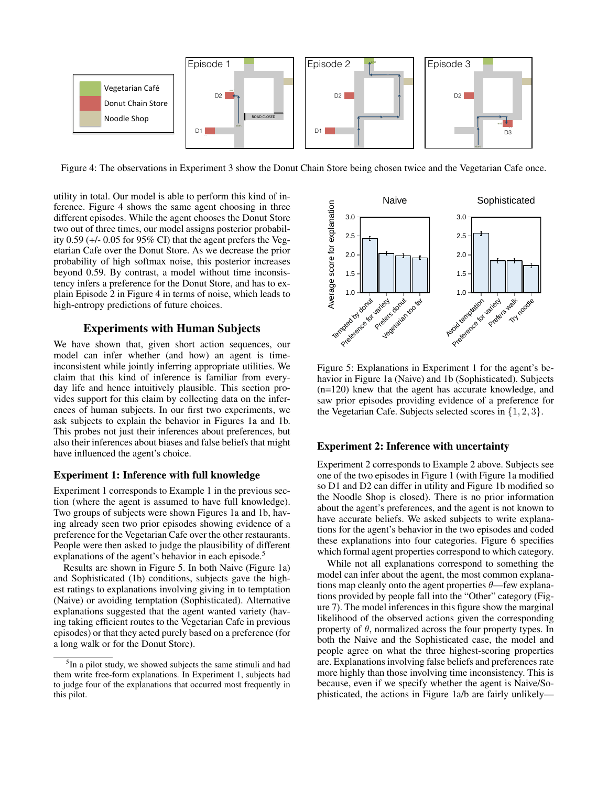

Figure 4: The observations in Experiment 3 show the Donut Chain Store being chosen twice and the Vegetarian Cafe once.

utility in total. Our model is able to perform this kind of inference. Figure 4 shows the same agent choosing in three different episodes. While the agent chooses the Donut Store two out of three times, our model assigns posterior probability 0.59 (+/- 0.05 for 95% CI) that the agent prefers the Vegetarian Cafe over the Donut Store. As we decrease the prior probability of high softmax noise, this posterior increases beyond 0.59. By contrast, a model without time inconsistency infers a preference for the Donut Store, and has to explain Episode 2 in Figure 4 in terms of noise, which leads to high-entropy predictions of future choices.

# Experiments with Human Subjects

We have shown that, given short action sequences, our model can infer whether (and how) an agent is timeinconsistent while jointly inferring appropriate utilities. We claim that this kind of inference is familiar from everyday life and hence intuitively plausible. This section provides support for this claim by collecting data on the inferences of human subjects. In our first two experiments, we ask subjects to explain the behavior in Figures 1a and 1b. This probes not just their inferences about preferences, but also their inferences about biases and false beliefs that might have influenced the agent's choice.

# Experiment 1: Inference with full knowledge

Experiment 1 corresponds to Example 1 in the previous section (where the agent is assumed to have full knowledge). Two groups of subjects were shown Figures 1a and 1b, having already seen two prior episodes showing evidence of a preference for the Vegetarian Cafe over the other restaurants. People were then asked to judge the plausibility of different explanations of the agent's behavior in each episode.<sup>5</sup>

Results are shown in Figure 5. In both Naive (Figure 1a) and Sophisticated (1b) conditions, subjects gave the highest ratings to explanations involving giving in to temptation (Naive) or avoiding temptation (Sophisticated). Alternative explanations suggested that the agent wanted variety (having taking efficient routes to the Vegetarian Cafe in previous episodes) or that they acted purely based on a preference (for a long walk or for the Donut Store).



Figure 5: Explanations in Experiment 1 for the agent's behavior in Figure 1a (Naive) and 1b (Sophisticated). Subjects (n=120) knew that the agent has accurate knowledge, and saw prior episodes providing evidence of a preference for the Vegetarian Cafe. Subjects selected scores in {1, 2, 3}.

#### Experiment 2: Inference with uncertainty

Experiment 2 corresponds to Example 2 above. Subjects see one of the two episodes in Figure 1 (with Figure 1a modified so D1 and D2 can differ in utility and Figure 1b modified so the Noodle Shop is closed). There is no prior information about the agent's preferences, and the agent is not known to have accurate beliefs. We asked subjects to write explanations for the agent's behavior in the two episodes and coded these explanations into four categories. Figure 6 specifies which formal agent properties correspond to which category.

While not all explanations correspond to something the model can infer about the agent, the most common explanations map cleanly onto the agent properties  $\theta$ —few explanations provided by people fall into the "Other" category (Figure 7). The model inferences in this figure show the marginal likelihood of the observed actions given the corresponding property of  $\theta$ , normalized across the four property types. In both the Naive and the Sophisticated case, the model and people agree on what the three highest-scoring properties are. Explanations involving false beliefs and preferences rate more highly than those involving time inconsistency. This is because, even if we specify whether the agent is Naive/Sophisticated, the actions in Figure 1a/b are fairly unlikely—

<sup>&</sup>lt;sup>5</sup>In a pilot study, we showed subjects the same stimuli and had them write free-form explanations. In Experiment 1, subjects had to judge four of the explanations that occurred most frequently in this pilot.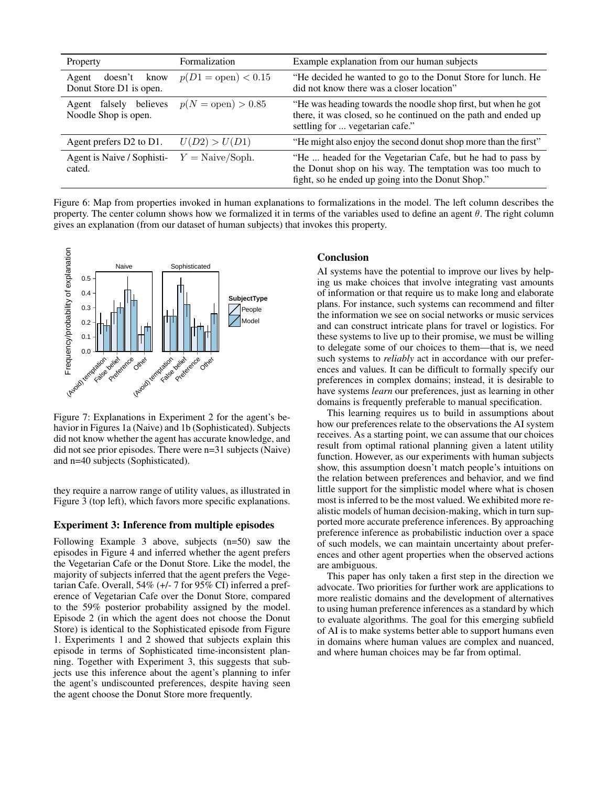| Property                                             | Formalization                | Example explanation from our human subjects                                                                                                                                  |
|------------------------------------------------------|------------------------------|------------------------------------------------------------------------------------------------------------------------------------------------------------------------------|
| doesn't<br>know<br>Agent<br>Donut Store D1 is open.  | $p(D1 = \text{open}) < 0.15$ | "He decided he wanted to go to the Donut Store for lunch. He<br>did not know there was a closer location"                                                                    |
| believes<br>falsely<br>Agent<br>Noodle Shop is open. | $p(N = \text{open}) > 0.85$  | "He was heading towards the noodle shop first, but when he got<br>there, it was closed, so he continued on the path and ended up<br>settling for  vegetarian cafe."          |
| Agent prefers D2 to D1.                              | U(D2) > U(D1)                | "He might also enjoy the second donut shop more than the first"                                                                                                              |
| Agent is Naive / Sophisti-<br>cated.                 | $Y = Naive/Soph.$            | "He  headed for the Vegetarian Cafe, but he had to pass by<br>the Donut shop on his way. The temptation was too much to<br>fight, so he ended up going into the Donut Shop." |

Figure 6: Map from properties invoked in human explanations to formalizations in the model. The left column describes the property. The center column shows how we formalized it in terms of the variables used to define an agent  $\theta$ . The right column gives an explanation (from our dataset of human subjects) that invokes this property.



Figure 7: Explanations in Experiment 2 for the agent's behavior in Figures 1a (Naive) and 1b (Sophisticated). Subjects did not know whether the agent has accurate knowledge, and did not see prior episodes. There were n=31 subjects (Naive) and n=40 subjects (Sophisticated).

they require a narrow range of utility values, as illustrated in Figure 3 (top left), which favors more specific explanations.

### Experiment 3: Inference from multiple episodes

Following Example 3 above, subjects (n=50) saw the episodes in Figure 4 and inferred whether the agent prefers the Vegetarian Cafe or the Donut Store. Like the model, the majority of subjects inferred that the agent prefers the Vegetarian Cafe. Overall, 54% (+/- 7 for 95% CI) inferred a preference of Vegetarian Cafe over the Donut Store, compared to the 59% posterior probability assigned by the model. Episode 2 (in which the agent does not choose the Donut Store) is identical to the Sophisticated episode from Figure 1. Experiments 1 and 2 showed that subjects explain this episode in terms of Sophisticated time-inconsistent planning. Together with Experiment 3, this suggests that subjects use this inference about the agent's planning to infer the agent's undiscounted preferences, despite having seen the agent choose the Donut Store more frequently.

### Conclusion

AI systems have the potential to improve our lives by helping us make choices that involve integrating vast amounts of information or that require us to make long and elaborate plans. For instance, such systems can recommend and filter the information we see on social networks or music services and can construct intricate plans for travel or logistics. For these systems to live up to their promise, we must be willing to delegate some of our choices to them—that is, we need such systems to *reliably* act in accordance with our preferences and values. It can be difficult to formally specify our preferences in complex domains; instead, it is desirable to have systems *learn* our preferences, just as learning in other domains is frequently preferable to manual specification.

This learning requires us to build in assumptions about how our preferences relate to the observations the AI system receives. As a starting point, we can assume that our choices result from optimal rational planning given a latent utility function. However, as our experiments with human subjects show, this assumption doesn't match people's intuitions on the relation between preferences and behavior, and we find little support for the simplistic model where what is chosen most is inferred to be the most valued. We exhibited more realistic models of human decision-making, which in turn supported more accurate preference inferences. By approaching preference inference as probabilistic induction over a space of such models, we can maintain uncertainty about preferences and other agent properties when the observed actions are ambiguous.

This paper has only taken a first step in the direction we advocate. Two priorities for further work are applications to more realistic domains and the development of alternatives to using human preference inferences as a standard by which to evaluate algorithms. The goal for this emerging subfield of AI is to make systems better able to support humans even in domains where human values are complex and nuanced, and where human choices may be far from optimal.